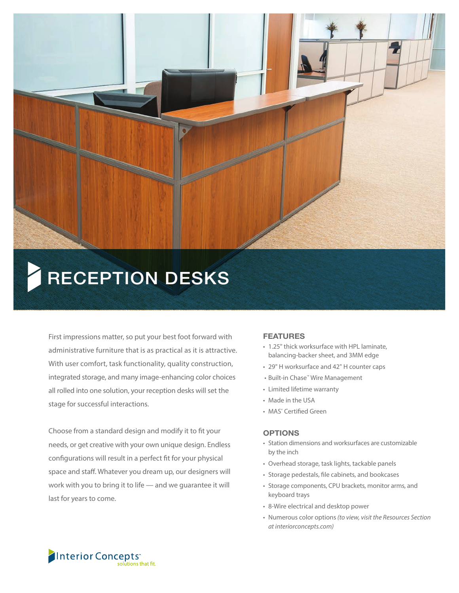

# RECEPTION DESKS

First impressions matter, so put your best foot forward with administrative furniture that is as practical as it is attractive. With user comfort, task functionality, quality construction, integrated storage, and many image-enhancing color choices all rolled into one solution, your reception desks will set the stage for successful interactions.

Choose from a standard design and modify it to fit your needs, or get creative with your own unique design. Endless configurations will result in a perfect fit for your physical space and staff. Whatever you dream up, our designers will work with you to bring it to life — and we guarantee it will last for years to come.

#### FEATURES

- 1.25" thick worksurface with HPL laminate, balancing-backer sheet, and 3MM edge
- 29" H worksurface and 42" H counter caps
- Built-in Chase™ Wire Management
- Limited lifetime warranty
- Made in the USA
- MAS<sup>®</sup> Certified Green

#### **OPTIONS**

- Station dimensions and worksurfaces are customizable by the inch
- Overhead storage, task lights, tackable panels
- Storage pedestals, file cabinets, and bookcases
- Storage components, CPU brackets, monitor arms, and keyboard trays
- 8-Wire electrical and desktop power
- Numerous color options *(to view, visit the Resources Section at interiorconcepts.com)*